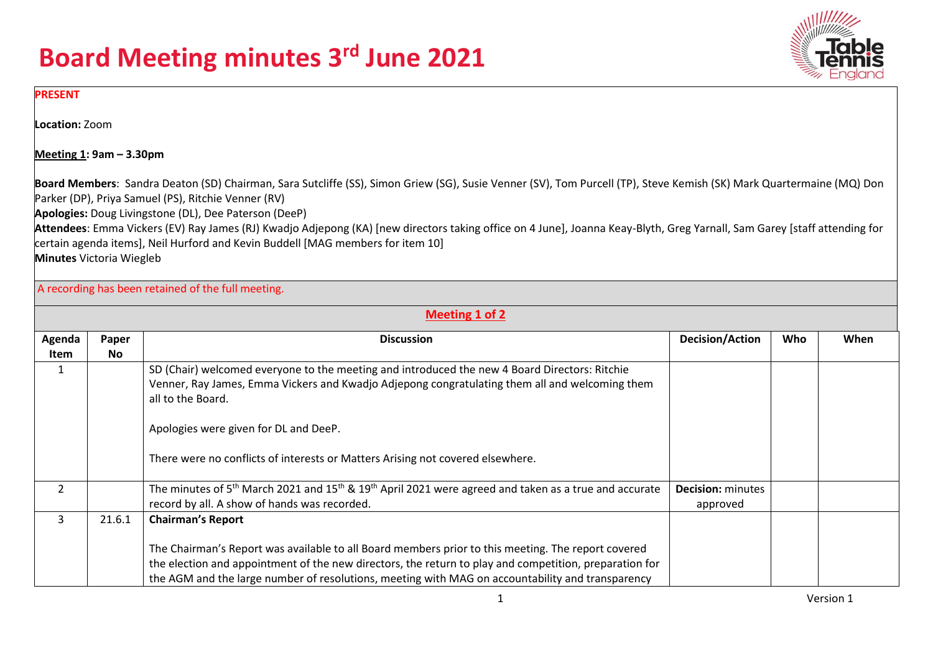

#### **PRESENT**

**Location:** Zoom

**Meeting 1: 9am – 3.30pm**

**Board Members**: Sandra Deaton (SD) Chairman, Sara Sutcliffe (SS), Simon Griew (SG), Susie Venner (SV), Tom Purcell (TP), Steve Kemish (SK) Mark Quartermaine (MQ) Don Parker (DP), Priya Samuel (PS), Ritchie Venner (RV)

**Apologies:** Doug Livingstone (DL), Dee Paterson (DeeP)

**Attendees**: Emma Vickers (EV) Ray James (RJ) Kwadjo Adjepong (KA) [new directors taking office on 4 June], Joanna Keay-Blyth, Greg Yarnall, Sam Garey [staff attending for certain agenda items], Neil Hurford and Kevin Buddell [MAG members for item 10]

**Minutes** Victoria Wiegleb

A recording has been retained of the full meeting.

|                | Meeting 1 of 2    |                                                                                                                                           |                          |     |      |  |  |
|----------------|-------------------|-------------------------------------------------------------------------------------------------------------------------------------------|--------------------------|-----|------|--|--|
| Agenda         | Paper             | <b>Discussion</b>                                                                                                                         | <b>Decision/Action</b>   | Who | When |  |  |
| Item           | No.               |                                                                                                                                           |                          |     |      |  |  |
|                |                   | SD (Chair) welcomed everyone to the meeting and introduced the new 4 Board Directors: Ritchie                                             |                          |     |      |  |  |
|                |                   | Venner, Ray James, Emma Vickers and Kwadjo Adjepong congratulating them all and welcoming them                                            |                          |     |      |  |  |
|                | all to the Board. |                                                                                                                                           |                          |     |      |  |  |
|                |                   | Apologies were given for DL and DeeP.                                                                                                     |                          |     |      |  |  |
|                |                   | There were no conflicts of interests or Matters Arising not covered elsewhere.                                                            |                          |     |      |  |  |
| $\overline{2}$ |                   | The minutes of 5 <sup>th</sup> March 2021 and 15 <sup>th</sup> & 19 <sup>th</sup> April 2021 were agreed and taken as a true and accurate | <b>Decision: minutes</b> |     |      |  |  |
|                |                   | record by all. A show of hands was recorded.                                                                                              | approved                 |     |      |  |  |
| 3              | 21.6.1            | <b>Chairman's Report</b>                                                                                                                  |                          |     |      |  |  |
|                |                   | The Chairman's Report was available to all Board members prior to this meeting. The report covered                                        |                          |     |      |  |  |
|                |                   | the election and appointment of the new directors, the return to play and competition, preparation for                                    |                          |     |      |  |  |
|                |                   | the AGM and the large number of resolutions, meeting with MAG on accountability and transparency                                          |                          |     |      |  |  |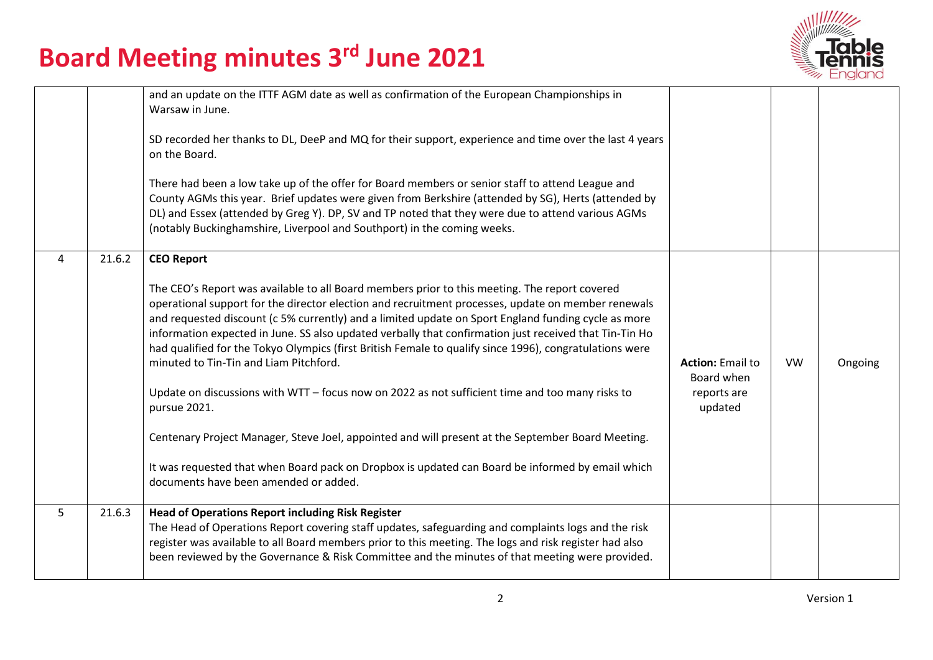

|   |        | and an update on the ITTF AGM date as well as confirmation of the European Championships in<br>Warsaw in June.<br>SD recorded her thanks to DL, DeeP and MQ for their support, experience and time over the last 4 years<br>on the Board.<br>There had been a low take up of the offer for Board members or senior staff to attend League and<br>County AGMs this year. Brief updates were given from Berkshire (attended by SG), Herts (attended by<br>DL) and Essex (attended by Greg Y). DP, SV and TP noted that they were due to attend various AGMs<br>(notably Buckinghamshire, Liverpool and Southport) in the coming weeks.                                                                                                                                                                                                                                                                                                                                |                                                                 |           |         |
|---|--------|---------------------------------------------------------------------------------------------------------------------------------------------------------------------------------------------------------------------------------------------------------------------------------------------------------------------------------------------------------------------------------------------------------------------------------------------------------------------------------------------------------------------------------------------------------------------------------------------------------------------------------------------------------------------------------------------------------------------------------------------------------------------------------------------------------------------------------------------------------------------------------------------------------------------------------------------------------------------|-----------------------------------------------------------------|-----------|---------|
| 4 | 21.6.2 | <b>CEO Report</b><br>The CEO's Report was available to all Board members prior to this meeting. The report covered<br>operational support for the director election and recruitment processes, update on member renewals<br>and requested discount (c 5% currently) and a limited update on Sport England funding cycle as more<br>information expected in June. SS also updated verbally that confirmation just received that Tin-Tin Ho<br>had qualified for the Tokyo Olympics (first British Female to qualify since 1996), congratulations were<br>minuted to Tin-Tin and Liam Pitchford.<br>Update on discussions with WTT - focus now on 2022 as not sufficient time and too many risks to<br>pursue 2021.<br>Centenary Project Manager, Steve Joel, appointed and will present at the September Board Meeting.<br>It was requested that when Board pack on Dropbox is updated can Board be informed by email which<br>documents have been amended or added. | <b>Action: Email to</b><br>Board when<br>reports are<br>updated | <b>VW</b> | Ongoing |
| 5 | 21.6.3 | <b>Head of Operations Report including Risk Register</b><br>The Head of Operations Report covering staff updates, safeguarding and complaints logs and the risk<br>register was available to all Board members prior to this meeting. The logs and risk register had also<br>been reviewed by the Governance & Risk Committee and the minutes of that meeting were provided.                                                                                                                                                                                                                                                                                                                                                                                                                                                                                                                                                                                        |                                                                 |           |         |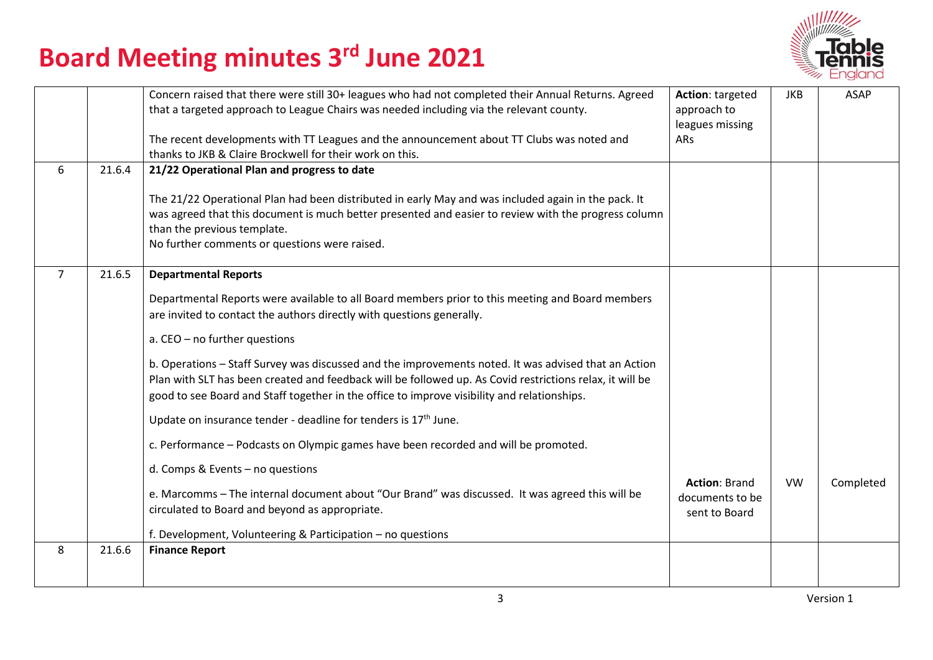

|                |        | Concern raised that there were still 30+ leagues who had not completed their Annual Returns. Agreed<br>that a targeted approach to League Chairs was needed including via the relevant county.<br>The recent developments with TT Leagues and the announcement about TT Clubs was noted and<br>thanks to JKB & Claire Brockwell for their work on this.                                                                                                                                                                                                                                                                                                                                                                                                                                                                                                                                                                                                                                    | Action: targeted<br>approach to<br>leagues missing<br>ARs | JKB       | <b>ASAP</b> |
|----------------|--------|--------------------------------------------------------------------------------------------------------------------------------------------------------------------------------------------------------------------------------------------------------------------------------------------------------------------------------------------------------------------------------------------------------------------------------------------------------------------------------------------------------------------------------------------------------------------------------------------------------------------------------------------------------------------------------------------------------------------------------------------------------------------------------------------------------------------------------------------------------------------------------------------------------------------------------------------------------------------------------------------|-----------------------------------------------------------|-----------|-------------|
| 6              | 21.6.4 | 21/22 Operational Plan and progress to date<br>The 21/22 Operational Plan had been distributed in early May and was included again in the pack. It<br>was agreed that this document is much better presented and easier to review with the progress column<br>than the previous template.<br>No further comments or questions were raised.                                                                                                                                                                                                                                                                                                                                                                                                                                                                                                                                                                                                                                                 |                                                           |           |             |
| $\overline{7}$ | 21.6.5 | <b>Departmental Reports</b><br>Departmental Reports were available to all Board members prior to this meeting and Board members<br>are invited to contact the authors directly with questions generally.<br>a. CEO - no further questions<br>b. Operations - Staff Survey was discussed and the improvements noted. It was advised that an Action<br>Plan with SLT has been created and feedback will be followed up. As Covid restrictions relax, it will be<br>good to see Board and Staff together in the office to improve visibility and relationships.<br>Update on insurance tender - deadline for tenders is 17 <sup>th</sup> June.<br>c. Performance - Podcasts on Olympic games have been recorded and will be promoted.<br>d. Comps & Events - no questions<br>e. Marcomms - The internal document about "Our Brand" was discussed. It was agreed this will be<br>circulated to Board and beyond as appropriate.<br>f. Development, Volunteering & Participation - no questions | <b>Action: Brand</b><br>documents to be<br>sent to Board  | <b>VW</b> | Completed   |
| 8              | 21.6.6 | <b>Finance Report</b>                                                                                                                                                                                                                                                                                                                                                                                                                                                                                                                                                                                                                                                                                                                                                                                                                                                                                                                                                                      |                                                           |           |             |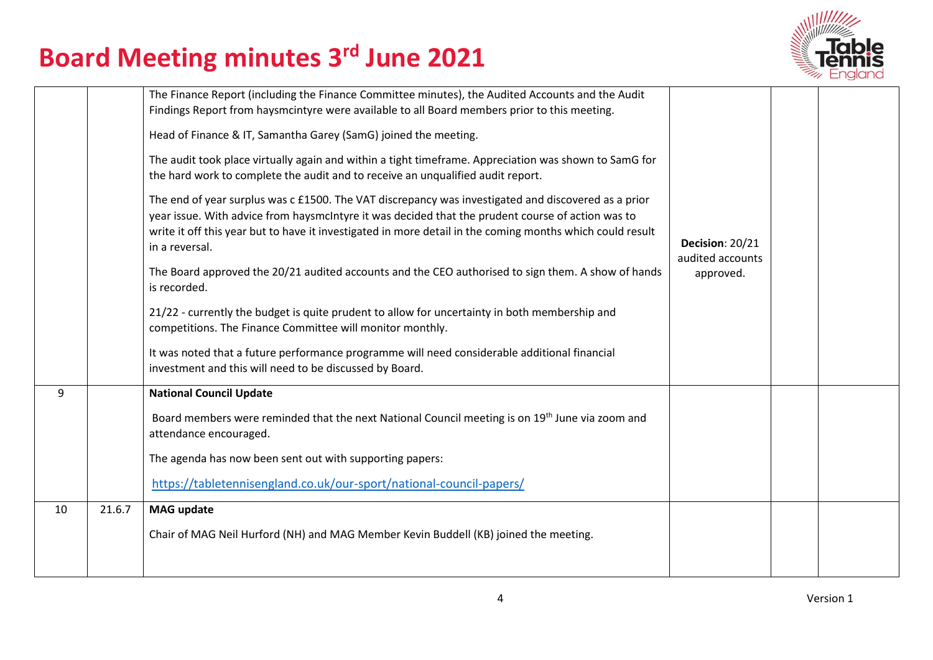

|    |        | The Finance Report (including the Finance Committee minutes), the Audited Accounts and the Audit<br>Findings Report from haysmcintyre were available to all Board members prior to this meeting.<br>Head of Finance & IT, Samantha Garey (SamG) joined the meeting.<br>The audit took place virtually again and within a tight timeframe. Appreciation was shown to SamG for<br>the hard work to complete the audit and to receive an unqualified audit report.<br>The end of year surplus was c £1500. The VAT discrepancy was investigated and discovered as a prior<br>year issue. With advice from haysmcIntyre it was decided that the prudent course of action was to<br>write it off this year but to have it investigated in more detail in the coming months which could result<br>in a reversal.<br>The Board approved the 20/21 audited accounts and the CEO authorised to sign them. A show of hands<br>is recorded.<br>21/22 - currently the budget is quite prudent to allow for uncertainty in both membership and<br>competitions. The Finance Committee will monitor monthly.<br>It was noted that a future performance programme will need considerable additional financial<br>investment and this will need to be discussed by Board. | Decision: 20/21<br>audited accounts<br>approved. |  |
|----|--------|-----------------------------------------------------------------------------------------------------------------------------------------------------------------------------------------------------------------------------------------------------------------------------------------------------------------------------------------------------------------------------------------------------------------------------------------------------------------------------------------------------------------------------------------------------------------------------------------------------------------------------------------------------------------------------------------------------------------------------------------------------------------------------------------------------------------------------------------------------------------------------------------------------------------------------------------------------------------------------------------------------------------------------------------------------------------------------------------------------------------------------------------------------------------------------------------------------------------------------------------------------------|--------------------------------------------------|--|
| 9  |        | <b>National Council Update</b><br>Board members were reminded that the next National Council meeting is on 19 <sup>th</sup> June via zoom and<br>attendance encouraged.                                                                                                                                                                                                                                                                                                                                                                                                                                                                                                                                                                                                                                                                                                                                                                                                                                                                                                                                                                                                                                                                                   |                                                  |  |
|    |        | The agenda has now been sent out with supporting papers:                                                                                                                                                                                                                                                                                                                                                                                                                                                                                                                                                                                                                                                                                                                                                                                                                                                                                                                                                                                                                                                                                                                                                                                                  |                                                  |  |
|    |        | https://tabletennisengland.co.uk/our-sport/national-council-papers/                                                                                                                                                                                                                                                                                                                                                                                                                                                                                                                                                                                                                                                                                                                                                                                                                                                                                                                                                                                                                                                                                                                                                                                       |                                                  |  |
| 10 | 21.6.7 | <b>MAG update</b>                                                                                                                                                                                                                                                                                                                                                                                                                                                                                                                                                                                                                                                                                                                                                                                                                                                                                                                                                                                                                                                                                                                                                                                                                                         |                                                  |  |
|    |        | Chair of MAG Neil Hurford (NH) and MAG Member Kevin Buddell (KB) joined the meeting.                                                                                                                                                                                                                                                                                                                                                                                                                                                                                                                                                                                                                                                                                                                                                                                                                                                                                                                                                                                                                                                                                                                                                                      |                                                  |  |
|    |        |                                                                                                                                                                                                                                                                                                                                                                                                                                                                                                                                                                                                                                                                                                                                                                                                                                                                                                                                                                                                                                                                                                                                                                                                                                                           |                                                  |  |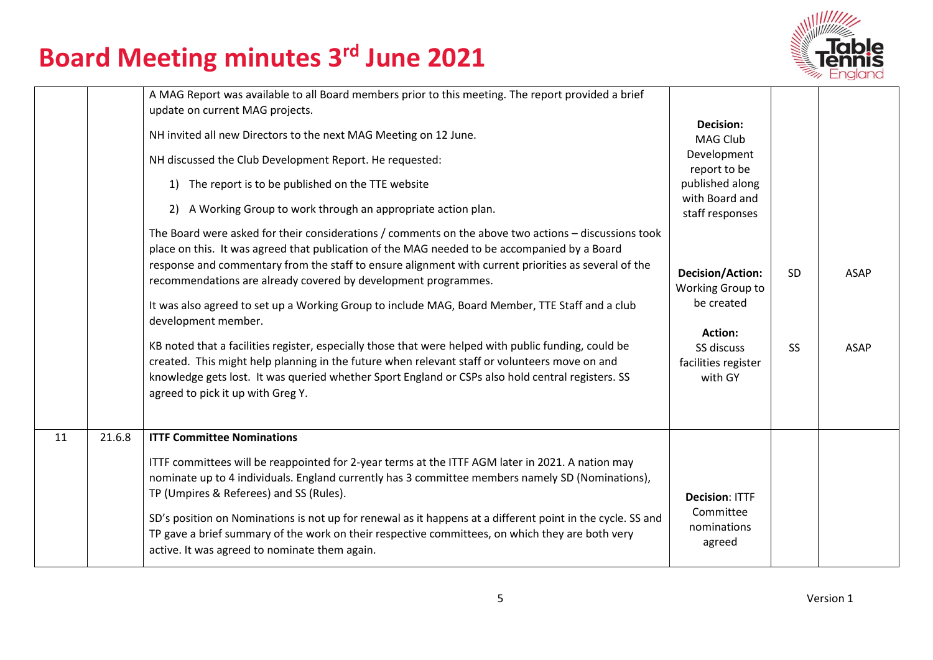

|    |        | A MAG Report was available to all Board members prior to this meeting. The report provided a brief<br>update on current MAG projects.<br>NH invited all new Directors to the next MAG Meeting on 12 June.<br>NH discussed the Club Development Report. He requested:<br>The report is to be published on the TTE website<br>1)<br>A Working Group to work through an appropriate action plan.<br>2)<br>The Board were asked for their considerations / comments on the above two actions - discussions took<br>place on this. It was agreed that publication of the MAG needed to be accompanied by a Board<br>response and commentary from the staff to ensure alignment with current priorities as several of the<br>recommendations are already covered by development programmes.<br>It was also agreed to set up a Working Group to include MAG, Board Member, TTE Staff and a club<br>development member.<br>KB noted that a facilities register, especially those that were helped with public funding, could be<br>created. This might help planning in the future when relevant staff or volunteers move on and<br>knowledge gets lost. It was queried whether Sport England or CSPs also hold central registers. SS<br>agreed to pick it up with Greg Y. | <b>Decision:</b><br><b>MAG Club</b><br>Development<br>report to be<br>published along<br>with Board and<br>staff responses<br><b>Decision/Action:</b><br>Working Group to<br>be created<br><b>Action:</b><br>SS discuss<br>facilities register<br>with GY | <b>SD</b><br><b>SS</b> | <b>ASAP</b><br><b>ASAP</b> |
|----|--------|--------------------------------------------------------------------------------------------------------------------------------------------------------------------------------------------------------------------------------------------------------------------------------------------------------------------------------------------------------------------------------------------------------------------------------------------------------------------------------------------------------------------------------------------------------------------------------------------------------------------------------------------------------------------------------------------------------------------------------------------------------------------------------------------------------------------------------------------------------------------------------------------------------------------------------------------------------------------------------------------------------------------------------------------------------------------------------------------------------------------------------------------------------------------------------------------------------------------------------------------------------------------|-----------------------------------------------------------------------------------------------------------------------------------------------------------------------------------------------------------------------------------------------------------|------------------------|----------------------------|
| 11 | 21.6.8 | <b>ITTF Committee Nominations</b><br>ITTF committees will be reappointed for 2-year terms at the ITTF AGM later in 2021. A nation may<br>nominate up to 4 individuals. England currently has 3 committee members namely SD (Nominations),<br>TP (Umpires & Referees) and SS (Rules).<br>SD's position on Nominations is not up for renewal as it happens at a different point in the cycle. SS and<br>TP gave a brief summary of the work on their respective committees, on which they are both very<br>active. It was agreed to nominate them again.                                                                                                                                                                                                                                                                                                                                                                                                                                                                                                                                                                                                                                                                                                             | <b>Decision: ITTF</b><br>Committee<br>nominations<br>agreed                                                                                                                                                                                               |                        |                            |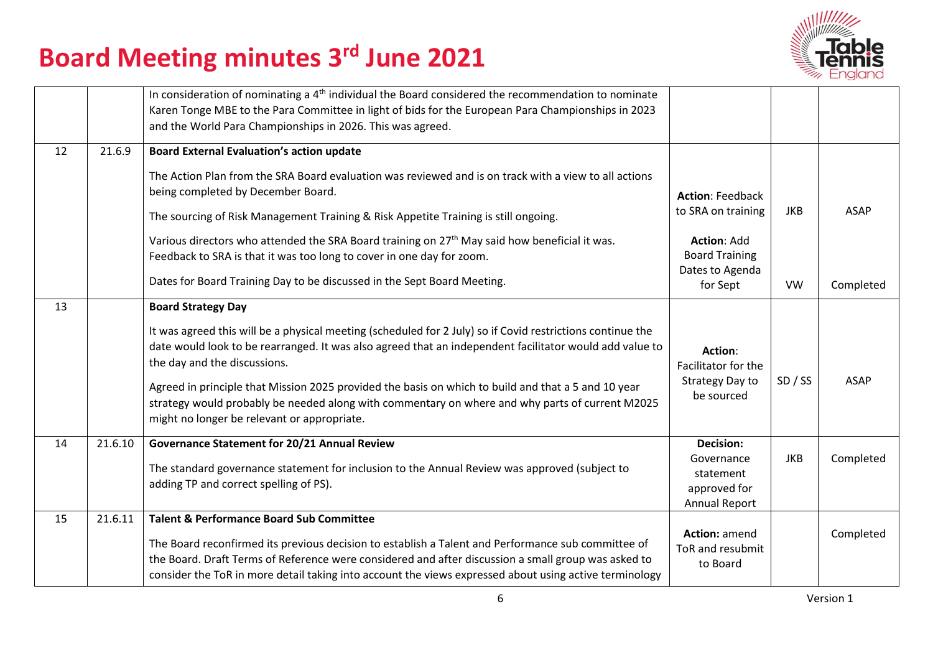

|    |         | In consideration of nominating a $4th$ individual the Board considered the recommendation to nominate<br>Karen Tonge MBE to the Para Committee in light of bids for the European Para Championships in 2023<br>and the World Para Championships in 2026. This was agreed.                                                                                                                                                                                                                                                                   |                                                                                                                 |            |             |
|----|---------|---------------------------------------------------------------------------------------------------------------------------------------------------------------------------------------------------------------------------------------------------------------------------------------------------------------------------------------------------------------------------------------------------------------------------------------------------------------------------------------------------------------------------------------------|-----------------------------------------------------------------------------------------------------------------|------------|-------------|
| 12 | 21.6.9  | <b>Board External Evaluation's action update</b><br>The Action Plan from the SRA Board evaluation was reviewed and is on track with a view to all actions<br>being completed by December Board.<br>The sourcing of Risk Management Training & Risk Appetite Training is still ongoing.<br>Various directors who attended the SRA Board training on 27 <sup>th</sup> May said how beneficial it was.<br>Feedback to SRA is that it was too long to cover in one day for zoom.                                                                | <b>Action: Feedback</b><br>to SRA on training<br><b>Action: Add</b><br><b>Board Training</b><br>Dates to Agenda | <b>JKB</b> | <b>ASAP</b> |
|    |         | Dates for Board Training Day to be discussed in the Sept Board Meeting.                                                                                                                                                                                                                                                                                                                                                                                                                                                                     | for Sept                                                                                                        | <b>VW</b>  | Completed   |
| 13 |         | <b>Board Strategy Day</b><br>It was agreed this will be a physical meeting (scheduled for 2 July) so if Covid restrictions continue the<br>date would look to be rearranged. It was also agreed that an independent facilitator would add value to<br>the day and the discussions.<br>Agreed in principle that Mission 2025 provided the basis on which to build and that a 5 and 10 year<br>strategy would probably be needed along with commentary on where and why parts of current M2025<br>might no longer be relevant or appropriate. | Action:<br>Facilitator for the<br>Strategy Day to<br>be sourced                                                 | SD / SS    | <b>ASAP</b> |
| 14 | 21.6.10 | Governance Statement for 20/21 Annual Review<br>The standard governance statement for inclusion to the Annual Review was approved (subject to<br>adding TP and correct spelling of PS).                                                                                                                                                                                                                                                                                                                                                     | <b>Decision:</b><br>Governance<br>statement<br>approved for<br><b>Annual Report</b>                             | <b>JKB</b> | Completed   |
| 15 | 21.6.11 | <b>Talent &amp; Performance Board Sub Committee</b><br>The Board reconfirmed its previous decision to establish a Talent and Performance sub committee of<br>the Board. Draft Terms of Reference were considered and after discussion a small group was asked to<br>consider the ToR in more detail taking into account the views expressed about using active terminology                                                                                                                                                                  | Action: amend<br>ToR and resubmit<br>to Board                                                                   |            | Completed   |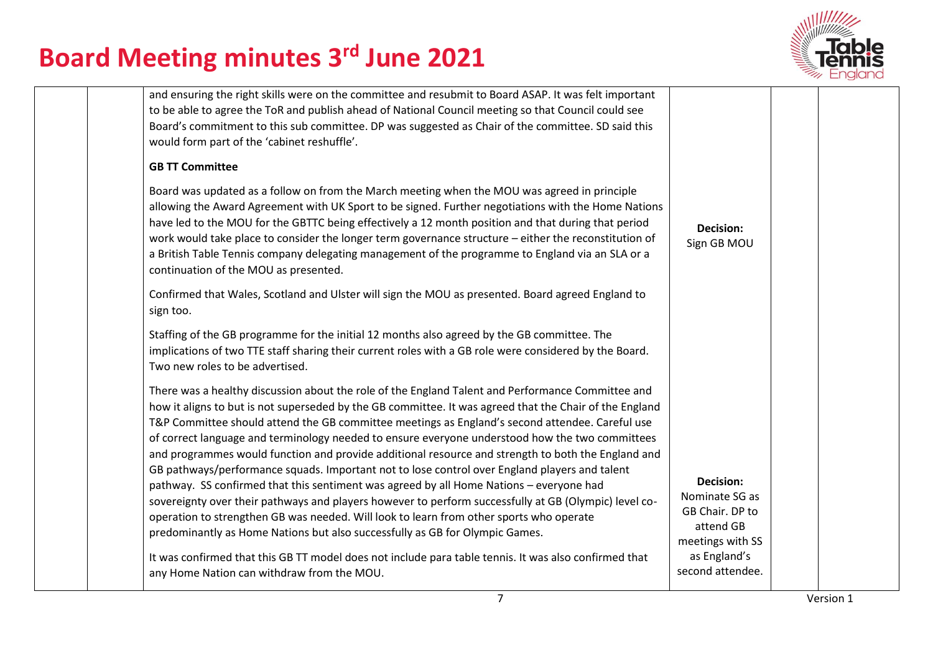

| and ensuring the right skills were on the committee and resubmit to Board ASAP. It was felt important<br>to be able to agree the ToR and publish ahead of National Council meeting so that Council could see<br>Board's commitment to this sub committee. DP was suggested as Chair of the committee. SD said this<br>would form part of the 'cabinet reshuffle'.                                                                                                                                                                                                                                                                                                                                                                                                                                                                                                                                                                                                                                                                                                                                                                                               |                                                                                                                     |  |
|-----------------------------------------------------------------------------------------------------------------------------------------------------------------------------------------------------------------------------------------------------------------------------------------------------------------------------------------------------------------------------------------------------------------------------------------------------------------------------------------------------------------------------------------------------------------------------------------------------------------------------------------------------------------------------------------------------------------------------------------------------------------------------------------------------------------------------------------------------------------------------------------------------------------------------------------------------------------------------------------------------------------------------------------------------------------------------------------------------------------------------------------------------------------|---------------------------------------------------------------------------------------------------------------------|--|
| <b>GB TT Committee</b>                                                                                                                                                                                                                                                                                                                                                                                                                                                                                                                                                                                                                                                                                                                                                                                                                                                                                                                                                                                                                                                                                                                                          |                                                                                                                     |  |
| Board was updated as a follow on from the March meeting when the MOU was agreed in principle<br>allowing the Award Agreement with UK Sport to be signed. Further negotiations with the Home Nations<br>have led to the MOU for the GBTTC being effectively a 12 month position and that during that period<br>work would take place to consider the longer term governance structure - either the reconstitution of<br>a British Table Tennis company delegating management of the programme to England via an SLA or a<br>continuation of the MOU as presented.                                                                                                                                                                                                                                                                                                                                                                                                                                                                                                                                                                                                | Decision:<br>Sign GB MOU                                                                                            |  |
| Confirmed that Wales, Scotland and Ulster will sign the MOU as presented. Board agreed England to<br>sign too.                                                                                                                                                                                                                                                                                                                                                                                                                                                                                                                                                                                                                                                                                                                                                                                                                                                                                                                                                                                                                                                  |                                                                                                                     |  |
| Staffing of the GB programme for the initial 12 months also agreed by the GB committee. The<br>implications of two TTE staff sharing their current roles with a GB role were considered by the Board.<br>Two new roles to be advertised.                                                                                                                                                                                                                                                                                                                                                                                                                                                                                                                                                                                                                                                                                                                                                                                                                                                                                                                        |                                                                                                                     |  |
| There was a healthy discussion about the role of the England Talent and Performance Committee and<br>how it aligns to but is not superseded by the GB committee. It was agreed that the Chair of the England<br>T&P Committee should attend the GB committee meetings as England's second attendee. Careful use<br>of correct language and terminology needed to ensure everyone understood how the two committees<br>and programmes would function and provide additional resource and strength to both the England and<br>GB pathways/performance squads. Important not to lose control over England players and talent<br>pathway. SS confirmed that this sentiment was agreed by all Home Nations - everyone had<br>sovereignty over their pathways and players however to perform successfully at GB (Olympic) level co-<br>operation to strengthen GB was needed. Will look to learn from other sports who operate<br>predominantly as Home Nations but also successfully as GB for Olympic Games.<br>It was confirmed that this GB TT model does not include para table tennis. It was also confirmed that<br>any Home Nation can withdraw from the MOU. | Decision:<br>Nominate SG as<br>GB Chair. DP to<br>attend GB<br>meetings with SS<br>as England's<br>second attendee. |  |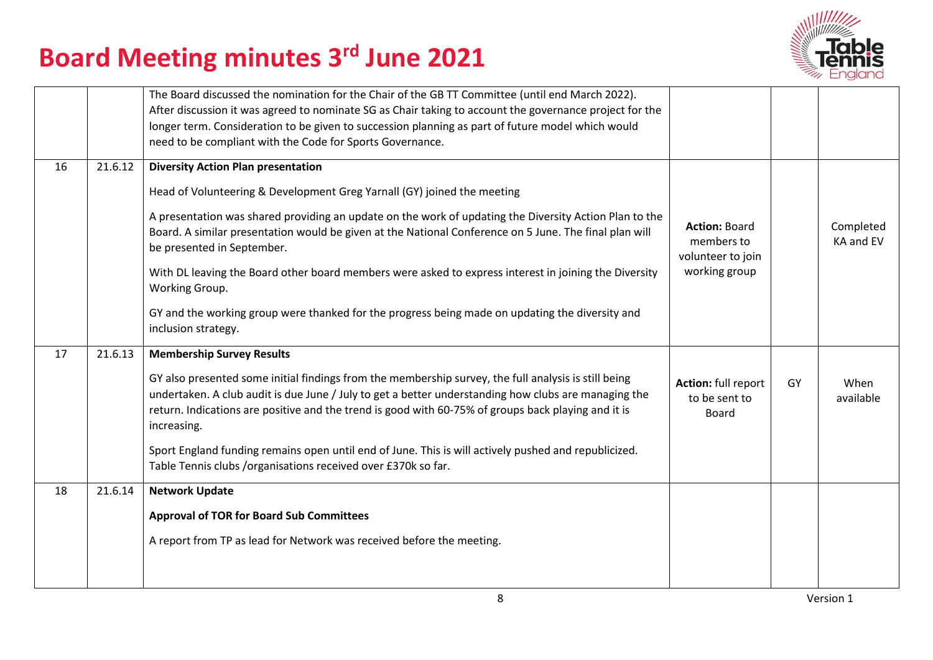

|    |         | The Board discussed the nomination for the Chair of the GB TT Committee (until end March 2022).<br>After discussion it was agreed to nominate SG as Chair taking to account the governance project for the<br>longer term. Consideration to be given to succession planning as part of future model which would<br>need to be compliant with the Code for Sports Governance.                                                                                                                                                                                                                                                |                                                                          |    |                        |
|----|---------|-----------------------------------------------------------------------------------------------------------------------------------------------------------------------------------------------------------------------------------------------------------------------------------------------------------------------------------------------------------------------------------------------------------------------------------------------------------------------------------------------------------------------------------------------------------------------------------------------------------------------------|--------------------------------------------------------------------------|----|------------------------|
| 16 | 21.6.12 | <b>Diversity Action Plan presentation</b><br>Head of Volunteering & Development Greg Yarnall (GY) joined the meeting<br>A presentation was shared providing an update on the work of updating the Diversity Action Plan to the<br>Board. A similar presentation would be given at the National Conference on 5 June. The final plan will<br>be presented in September.<br>With DL leaving the Board other board members were asked to express interest in joining the Diversity<br>Working Group.<br>GY and the working group were thanked for the progress being made on updating the diversity and<br>inclusion strategy. | <b>Action: Board</b><br>members to<br>volunteer to join<br>working group |    | Completed<br>KA and EV |
| 17 | 21.6.13 | <b>Membership Survey Results</b><br>GY also presented some initial findings from the membership survey, the full analysis is still being<br>undertaken. A club audit is due June / July to get a better understanding how clubs are managing the<br>return. Indications are positive and the trend is good with 60-75% of groups back playing and it is<br>increasing.<br>Sport England funding remains open until end of June. This is will actively pushed and republicized.<br>Table Tennis clubs /organisations received over £370k so far.                                                                             | Action: full report<br>to be sent to<br>Board                            | GY | When<br>available      |
| 18 | 21.6.14 | <b>Network Update</b><br><b>Approval of TOR for Board Sub Committees</b><br>A report from TP as lead for Network was received before the meeting.                                                                                                                                                                                                                                                                                                                                                                                                                                                                           |                                                                          |    |                        |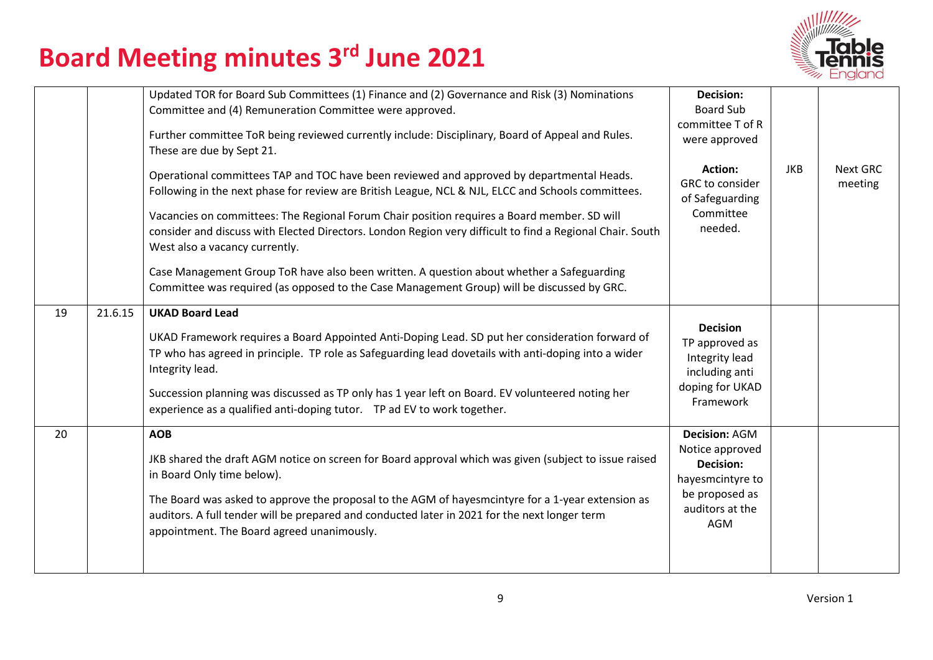

|    |         | Updated TOR for Board Sub Committees (1) Finance and (2) Governance and Risk (3) Nominations<br>Committee and (4) Remuneration Committee were approved.<br>Further committee ToR being reviewed currently include: Disciplinary, Board of Appeal and Rules.<br>These are due by Sept 21.<br>Operational committees TAP and TOC have been reviewed and approved by departmental Heads.<br>Following in the next phase for review are British League, NCL & NJL, ELCC and Schools committees.<br>Vacancies on committees: The Regional Forum Chair position requires a Board member. SD will<br>consider and discuss with Elected Directors. London Region very difficult to find a Regional Chair. South<br>West also a vacancy currently.<br>Case Management Group ToR have also been written. A question about whether a Safeguarding<br>Committee was required (as opposed to the Case Management Group) will be discussed by GRC. | <b>Decision:</b><br><b>Board Sub</b><br>committee T of R<br>were approved<br>Action:<br>GRC to consider<br>of Safeguarding<br>Committee<br>needed. | <b>JKB</b> | Next GRC<br>meeting |
|----|---------|--------------------------------------------------------------------------------------------------------------------------------------------------------------------------------------------------------------------------------------------------------------------------------------------------------------------------------------------------------------------------------------------------------------------------------------------------------------------------------------------------------------------------------------------------------------------------------------------------------------------------------------------------------------------------------------------------------------------------------------------------------------------------------------------------------------------------------------------------------------------------------------------------------------------------------------|----------------------------------------------------------------------------------------------------------------------------------------------------|------------|---------------------|
| 19 | 21.6.15 | <b>UKAD Board Lead</b><br>UKAD Framework requires a Board Appointed Anti-Doping Lead. SD put her consideration forward of<br>TP who has agreed in principle. TP role as Safeguarding lead dovetails with anti-doping into a wider<br>Integrity lead.<br>Succession planning was discussed as TP only has 1 year left on Board. EV volunteered noting her<br>experience as a qualified anti-doping tutor.  TP ad EV to work together.                                                                                                                                                                                                                                                                                                                                                                                                                                                                                                 | <b>Decision</b><br>TP approved as<br>Integrity lead<br>including anti<br>doping for UKAD<br>Framework                                              |            |                     |
| 20 |         | <b>AOB</b><br>JKB shared the draft AGM notice on screen for Board approval which was given (subject to issue raised<br>in Board Only time below).<br>The Board was asked to approve the proposal to the AGM of hayesmcintyre for a 1-year extension as<br>auditors. A full tender will be prepared and conducted later in 2021 for the next longer term<br>appointment. The Board agreed unanimously.                                                                                                                                                                                                                                                                                                                                                                                                                                                                                                                                | <b>Decision: AGM</b><br>Notice approved<br><b>Decision:</b><br>hayesmcintyre to<br>be proposed as<br>auditors at the<br>AGM                        |            |                     |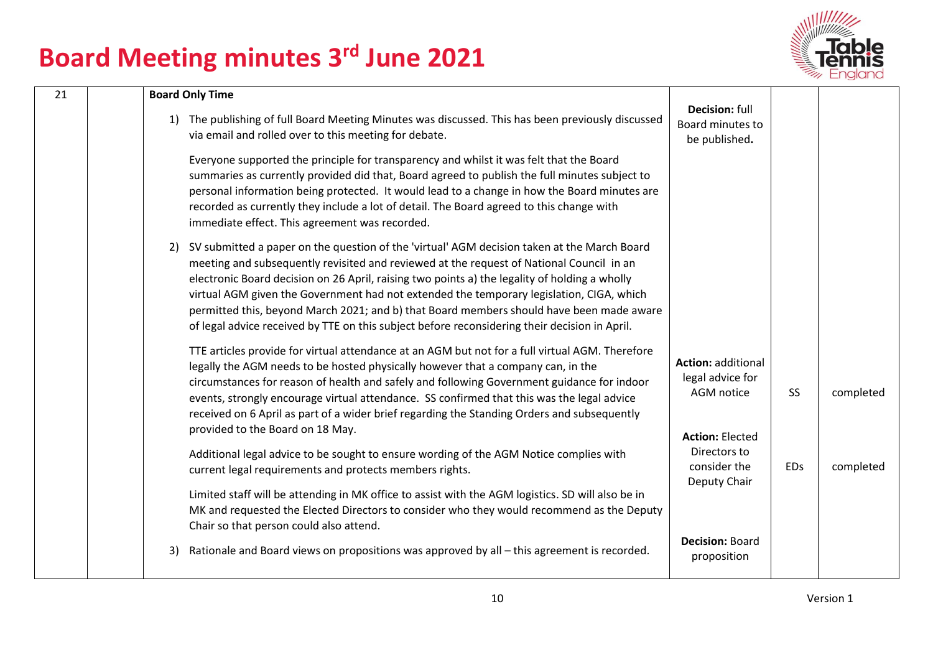

| 21 | <b>Board Only Time</b>                                                                                                                                                                                                                                                                                                                                                                                                                                                                                                                                                               |                                                                                       |            |           |
|----|--------------------------------------------------------------------------------------------------------------------------------------------------------------------------------------------------------------------------------------------------------------------------------------------------------------------------------------------------------------------------------------------------------------------------------------------------------------------------------------------------------------------------------------------------------------------------------------|---------------------------------------------------------------------------------------|------------|-----------|
|    | 1) The publishing of full Board Meeting Minutes was discussed. This has been previously discussed<br>via email and rolled over to this meeting for debate.                                                                                                                                                                                                                                                                                                                                                                                                                           | Decision: full<br>Board minutes to<br>be published.                                   |            |           |
|    | Everyone supported the principle for transparency and whilst it was felt that the Board<br>summaries as currently provided did that, Board agreed to publish the full minutes subject to<br>personal information being protected. It would lead to a change in how the Board minutes are<br>recorded as currently they include a lot of detail. The Board agreed to this change with<br>immediate effect. This agreement was recorded.                                                                                                                                               |                                                                                       |            |           |
|    | 2) SV submitted a paper on the question of the 'virtual' AGM decision taken at the March Board<br>meeting and subsequently revisited and reviewed at the request of National Council in an<br>electronic Board decision on 26 April, raising two points a) the legality of holding a wholly<br>virtual AGM given the Government had not extended the temporary legislation, CIGA, which<br>permitted this, beyond March 2021; and b) that Board members should have been made aware<br>of legal advice received by TTE on this subject before reconsidering their decision in April. |                                                                                       |            |           |
|    | TTE articles provide for virtual attendance at an AGM but not for a full virtual AGM. Therefore<br>legally the AGM needs to be hosted physically however that a company can, in the<br>circumstances for reason of health and safely and following Government guidance for indoor<br>events, strongly encourage virtual attendance. SS confirmed that this was the legal advice<br>received on 6 April as part of a wider brief regarding the Standing Orders and subsequently<br>provided to the Board on 18 May.                                                                   | <b>Action: additional</b><br>legal advice for<br>AGM notice<br><b>Action: Elected</b> | <b>SS</b>  | completed |
|    | Additional legal advice to be sought to ensure wording of the AGM Notice complies with<br>current legal requirements and protects members rights.<br>Limited staff will be attending in MK office to assist with the AGM logistics. SD will also be in<br>MK and requested the Elected Directors to consider who they would recommend as the Deputy                                                                                                                                                                                                                                  | Directors to<br>consider the<br>Deputy Chair                                          | <b>EDs</b> | completed |
|    | Chair so that person could also attend.<br>Rationale and Board views on propositions was approved by all – this agreement is recorded.<br>3)                                                                                                                                                                                                                                                                                                                                                                                                                                         | <b>Decision: Board</b><br>proposition                                                 |            |           |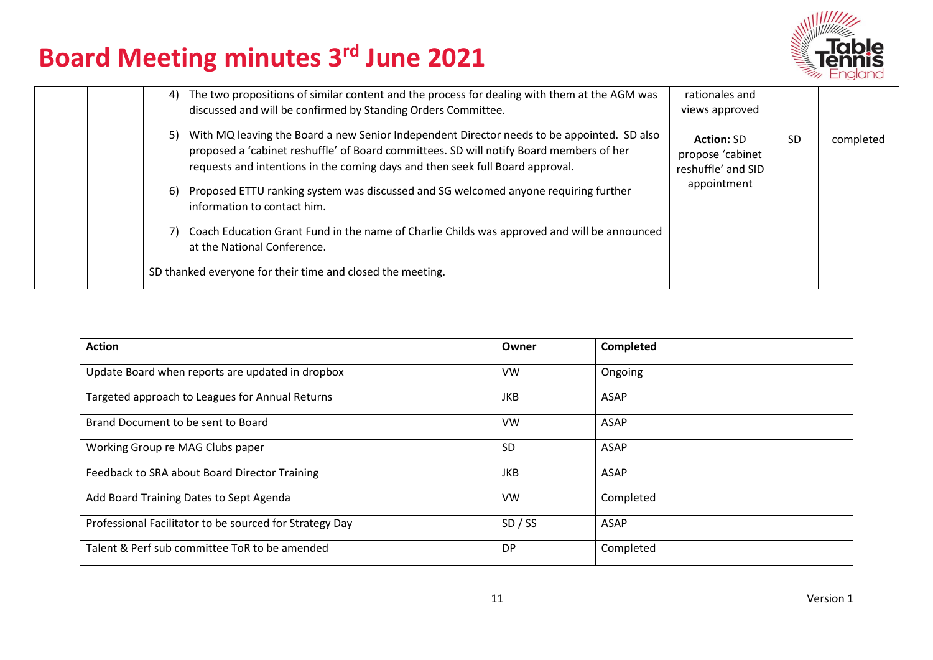

| The two propositions of similar content and the process for dealing with them at the AGM was<br>4)<br>discussed and will be confirmed by Standing Orders Committee.                                                                                                          | rationales and<br>views approved                            |     |           |
|------------------------------------------------------------------------------------------------------------------------------------------------------------------------------------------------------------------------------------------------------------------------------|-------------------------------------------------------------|-----|-----------|
| With MQ leaving the Board a new Senior Independent Director needs to be appointed. SD also<br>5)<br>proposed a 'cabinet reshuffle' of Board committees. SD will notify Board members of her<br>requests and intentions in the coming days and then seek full Board approval. | <b>Action: SD</b><br>propose 'cabinet<br>reshuffle' and SID | -SD | completed |
| Proposed ETTU ranking system was discussed and SG welcomed anyone requiring further<br>6)<br>information to contact him.                                                                                                                                                     | appointment                                                 |     |           |
| Coach Education Grant Fund in the name of Charlie Childs was approved and will be announced<br>7)<br>at the National Conference.                                                                                                                                             |                                                             |     |           |
| SD thanked everyone for their time and closed the meeting.                                                                                                                                                                                                                   |                                                             |     |           |

| <b>Action</b>                                           | Owner      | Completed |
|---------------------------------------------------------|------------|-----------|
| Update Board when reports are updated in dropbox        | VW         | Ongoing   |
| Targeted approach to Leagues for Annual Returns         | <b>JKB</b> | ASAP      |
| Brand Document to be sent to Board                      | <b>VW</b>  | ASAP      |
| Working Group re MAG Clubs paper                        | <b>SD</b>  | ASAP      |
| Feedback to SRA about Board Director Training           | <b>JKB</b> | ASAP      |
| Add Board Training Dates to Sept Agenda                 | VW         | Completed |
| Professional Facilitator to be sourced for Strategy Day | SD / SS    | ASAP      |
| Talent & Perf sub committee ToR to be amended           | <b>DP</b>  | Completed |